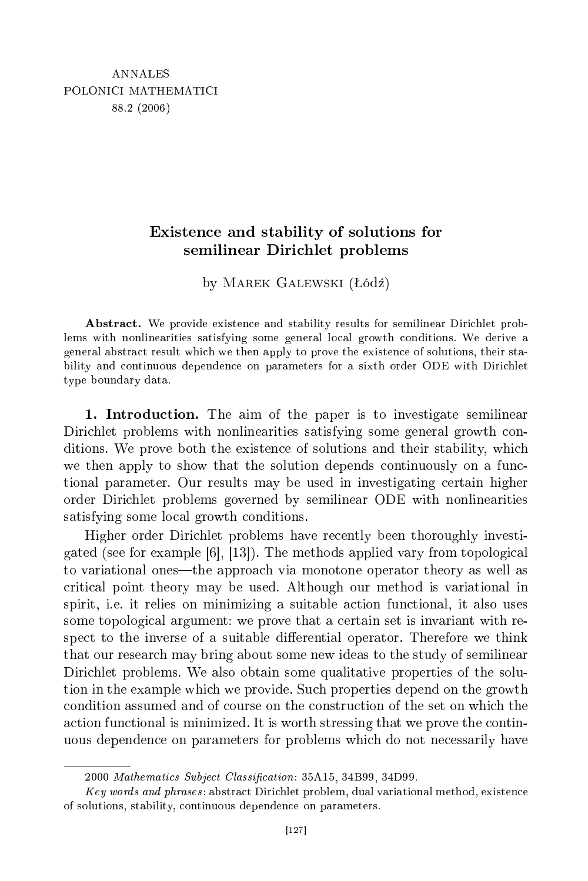## Existen
e and stability of solutions for semilinear Dirichlet problems

by MAREK GALEWSKI (Łódź)

Abstract. We provide existence and stability results for semilinear Dirichlet problems with nonlinearities satisfying some general lo
al growth onditions. We derive a general abstra
t result whi
h we then apply to prove the existen
e of solutions, their stability and continuous dependence on parameters for a sixth order ODE with Dirichlet type boundary data.

1. Introdu
tion. The aim of the paper is to investigate semilinear Dirichlet problems with nonlinearities satisfying some general growth conditions. We prove both the existen
e of solutions and their stability, whi
h we then apply to show that the solution depends continuously on a functional parameter. Our results may be used in investigating ertain higher order Diri
hlet problems governed by semilinear ODE with nonlinearities satisfying some local growth conditions.

Higher order Dirichlet problems have recently been thoroughly investigated (see for example  $[6]$ ,  $[13]$ ). The methods applied vary from topological to variational ones—the approach via monotone operator theory as well as riti
al point theory may be used. Although our method is variational in spirit, i.e. it relies on minimizing a suitable action functional, it also uses some topological argument: we prove that a certain set is invariant with respect to the inverse of a suitable differential operator. Therefore we think that our resear
h may bring about some new ideas to the study of semilinear Dirichlet problems. We also obtain some qualitative properties of the solution in the example whi
h we provide. Su
h properties depend on the growth condition assumed and of course on the construction of the set on which the a
tion fun
tional is minimized. It is worth stressing that we prove the ontinuous dependen
e on parameters for problems whi
h do not ne
essarily have

<sup>2000</sup> Mathematics Subject Classification: 35A15, 34B99, 34D99.

 $Key words and phrases: abstract Dirichlet problem, dual variational method, existence$ of solutions, stability, ontinuous dependen
e on parameters.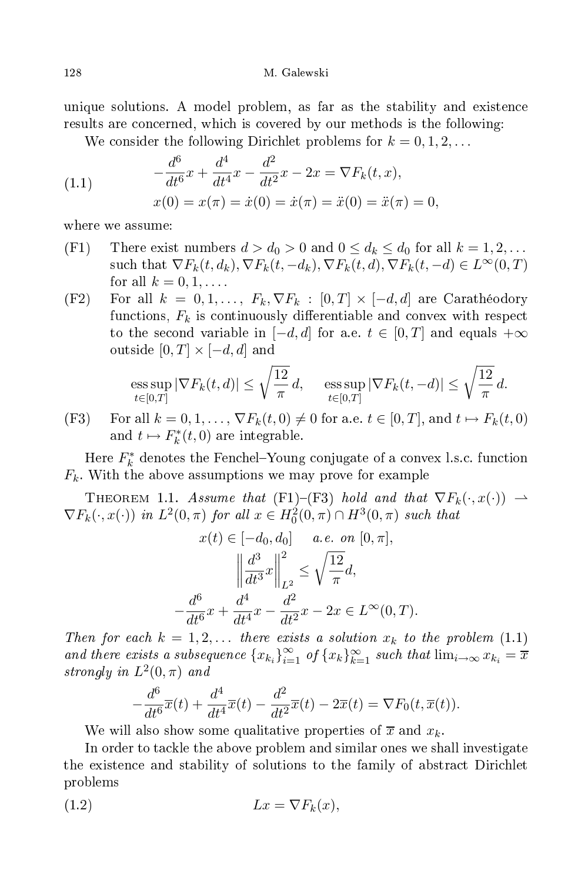unique solutions. A model problem, as far as the stability and existen
e results are concerned, which is covered by our methods is the following:

We consider the following Dirichlet problems for  $k = 0, 1, 2, ...$ 

(1.1) 
$$
-\frac{d^6}{dt^6}x + \frac{d^4}{dt^4}x - \frac{d^2}{dt^2}x - 2x = \nabla F_k(t, x),
$$

$$
x(0) = x(\pi) = \dot{x}(0) = \dot{x}(\pi) = \ddot{x}(0) = \ddot{x}(\pi) = 0,
$$

where we assume:

- (F1) There exist numbers  $d > d_0 > 0$  and  $0 \leq d_k \leq d_0$  for all  $k = 1, 2, \ldots$ such that  $\nabla F_k(t, d_k)$ ,  $\nabla F_k(t, -d_k)$ ,  $\nabla F_k(t, d)$ ,  $\nabla F_k(t, -d) \in L^{\infty}(0, T)$ for all  $k = 0, 1, \ldots$ .
- (F2) For all  $k = 0, 1, ..., F_k, \nabla F_k : [0, T] \times [-d, d]$  are Carathéodory functions,  $F_k$  is continuously differentiable and convex with respect to the second variable in  $[-d, d]$  for a.e.  $t \in [0, T]$  and equals  $+\infty$ outside  $[0, T] \times [-d, d]$  and

$$
\operatorname{ess} \sup_{t \in [0,T]} |\nabla F_k(t,d)| \le \sqrt{\frac{12}{\pi}} d, \quad \operatorname{ess} \sup_{t \in [0,T]} |\nabla F_k(t,-d)| \le \sqrt{\frac{12}{\pi}} d.
$$

(F3) For all  $k = 0, 1, \ldots, \nabla F_k(t, 0) \neq 0$  for a.e.  $t \in [0, T]$ , and  $t \mapsto F_k(t, 0)$ and  $t \mapsto F_k^*$  $\chi_k^*(t,0)$  are integrable.

Here  $F_k^*$  $k$  denotes the Fenchel-Toung conjugate of a convex i.s.c. function  $F_k$ . With the above assumptions we may prove for example

THEOREM 1.1. Assume that (F1)-(F3) hold and that  $\nabla F_k(\cdot, x(\cdot)) \rightarrow$  $\nabla F_k(\cdot, x(\cdot))$  in  $L^2(0, \pi)$  for all  $x \in H_0^2(0, \pi) \cap H^3(0, \pi)$  such that

$$
x(t) \in [-d_0, d_0] \quad a.e. \text{ on } [0, \pi],
$$

$$
\left\| \frac{d^3}{dt^3} x \right\|_{L^2}^2 \le \sqrt{\frac{12}{\pi}} d,
$$

$$
-\frac{d^6}{dt^6} x + \frac{d^4}{dt^4} x - \frac{d^2}{dt^2} x - 2x \in L^\infty(0, T).
$$

Then for each  $k = 1, 2, \ldots$  there exists a solution  $x_k$  to the problem  $(1.1)$ and there exists a subsequence  ${x_{k_i}}_{i=1}^{\infty}$  of  ${x_k}_{k=1}^{\infty}$  such that  $\lim_{i\to\infty}x_{k_i}=\frac{1}{x}$ strongly in  $L^2(0, \pi)$  and

$$
-\frac{d^6}{dt^6}\overline{x}(t) + \frac{d^4}{dt^4}\overline{x}(t) - \frac{d^2}{dt^2}\overline{x}(t) - 2\overline{x}(t) = \nabla F_0(t, \overline{x}(t)).
$$

We will also show some qualitative properties of  $\overline{x}$  and  $x_k$ .

In order to tackle the above problem and similar ones we shall investigate the existence and stability of solutions to the family of abstract Dirichlet problems

$$
(1.2) \t\t Lx = \nabla F_k(x),
$$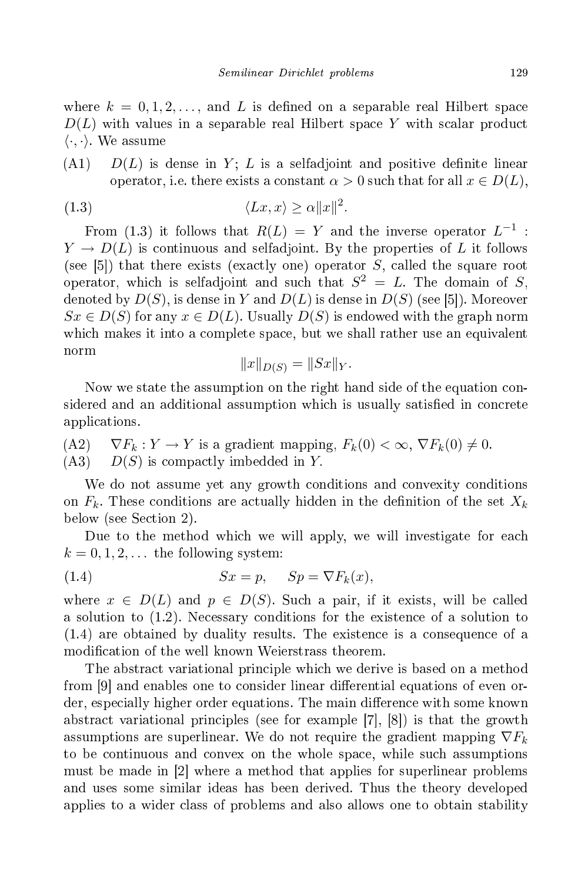where  $k = 0, 1, 2, \ldots$ , and L is defined on a separable real Hilbert space  $D(L)$  with values in a separable real Hilbert space Y with scalar product  $\langle \cdot, \cdot \rangle$ . We assume

 $(A1)$   $D(L)$  is dense in Y; L is a selfadjoint and positive definite linear operator, i.e. there exists a constant  $\alpha > 0$  such that for all  $x \in D(L)$ .

$$
(1.3) \t\t\t \langle Lx, x \rangle \ge \alpha ||x||^2.
$$

From (1.3) it follows that  $R(L) = Y$  and the inverse operator  $L^{-1}$ :  $Y \to D(L)$  is continuous and selfadjoint. By the properties of L it follows (see [5]) that there exists (exactly one) operator  $S$ , called the square root operator, which is selfadjoint and such that  $S^2 = L$ . The domain of S, denoted by  $D(S)$ , is dense in Y and  $D(L)$  is dense in  $D(S)$  (see [5]). Moreover  $Sx \in D(S)$  for any  $x \in D(L)$ . Usually  $D(S)$  is endowed with the graph norm which makes it into a complete space, but we shall rather use an equivalent norm

$$
||x||_{D(S)} = ||Sx||_Y.
$$

Now we state the assumption on the right hand side of the equation considered and an additional assumption which is usually satisfied in concrete appli
ations.

\n- (A2) 
$$
\nabla F_k : Y \to Y
$$
 is a gradient mapping,  $F_k(0) < \infty$ ,  $\nabla F_k(0) \neq 0$ .
\n- (A3)  $D(S)$  is compactly imbedded in  $Y$ .
\n

We do not assume yet any growth conditions and convexity conditions on  $F_k$ . These conditions are actually hidden in the definition of the set  $X_k$ below (see Section 2).

Due to the method which we will apply, we will investigate for each  $k = 0, 1, 2, \ldots$  the following system:

(1.4) 
$$
Sx = p, \quad Sp = \nabla F_k(x),
$$

where  $x \in D(L)$  and  $p \in D(S)$ . Such a pair, if it exists, will be called a solution to (1.2). Ne
essary onditions for the existen
e of a solution to (1.4) are obtained by duality results. The existen
e is a onsequen
e of a modification of the well known Weierstrass theorem.

The abstract variational principle which we derive is based on a method from |9| and enables one to consider linear differential equations of even order, especially higher order equations. The main difference with some known abstract variational principles (see for example [7], [8]) is that the growth assumptions are superlinear. We do not require the gradient mapping  $\nabla F_k$ to be ontinuous and onvex on the whole spa
e, while su
h assumptions must be made in  $[2]$  where a method that applies for superlinear problems and uses some similar ideas has been derived. Thus the theory developed applies to a wider lass of problems and also allows one to obtain stability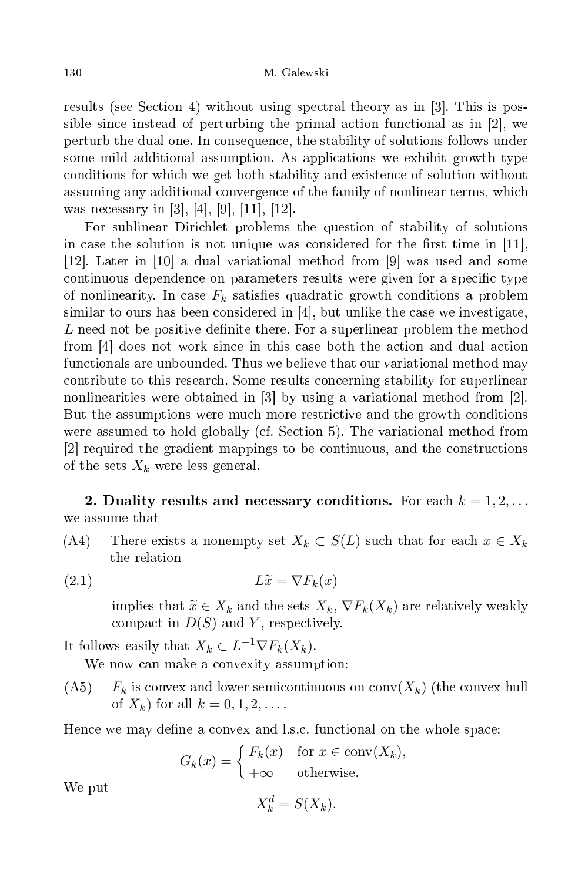results (see Section 4) without using spectral theory as in  $[3]$ . This is possible since instead of perturbing the primal action functional as in [2], we perturb the dual one. In onsequen
e, the stability of solutions follows under some mild additional assumption. As appli
ations we exhibit growth type onditions for whi
h we get both stability and existen
e of solution without assuming any additional onvergen
e of the family of nonlinear terms, whi
h was necessary in [3], [4], [9], [11], [12].

For sublinear Dirichlet problems the question of stability of solutions in case the solution is not unique was considered for the first time in  $[11]$ , [12]. Later in [10] a dual variational method from [9] was used and some continuous dependence on parameters results were given for a specific type of nonlinearity. In case  $F_k$  satisfies quadratic growth conditions a problem similar to ours has been considered in  $|4|$ , but unlike the case we investigate, L need not be positive definite there. For a superlinear problem the method from  $\left[4\right]$  does not work since in this case both the action and dual action fun
tionals are unbounded. Thus we believe that our variational method may ontribute to this resear
h. Some results on
erning stability for superlinear nonlinearities were obtained in  $[3]$  by using a variational method from  $[2]$ . But the assumptions were mu
h more restri
tive and the growth onditions were assumed to hold globally (cf. Section 5). The variational method from [2] required the gradient mappings to be continuous, and the constructions of the sets  $X_k$  were less general.

2. Duality results and necessary conditions. For each  $k = 1, 2, \ldots$ we assume that

- (A4) There exists a nonempty set  $X_k \subset S(L)$  such that for each  $x \in X_k$ the relation
- (2.1)  $L\widetilde{x} = \nabla F_k(x)$

implies that  $\widetilde{x} \in X_k$  and the sets  $X_k$ ,  $\nabla F_k(X_k)$  are relatively weakly compact in  $D(S)$  and Y, respectively.

It follows easily that  $X_k \subset L^{-1} \nabla F_k(X_k)$ .

We now can make a convexity assumption:

 $(A5)$   $F_k$  is convex and lower semicontinuous on conv $(X_k)$  (the convex hull of  $X_k$ ) for all  $k = 0, 1, 2, \ldots$ .

Hence we may define a convex and l.s.c. functional on the whole space:

$$
G_k(x) = \begin{cases} F_k(x) & \text{for } x \in \text{conv}(X_k), \\ +\infty & \text{otherwise.} \end{cases}
$$

We put

$$
X_k^d = S(X_k).
$$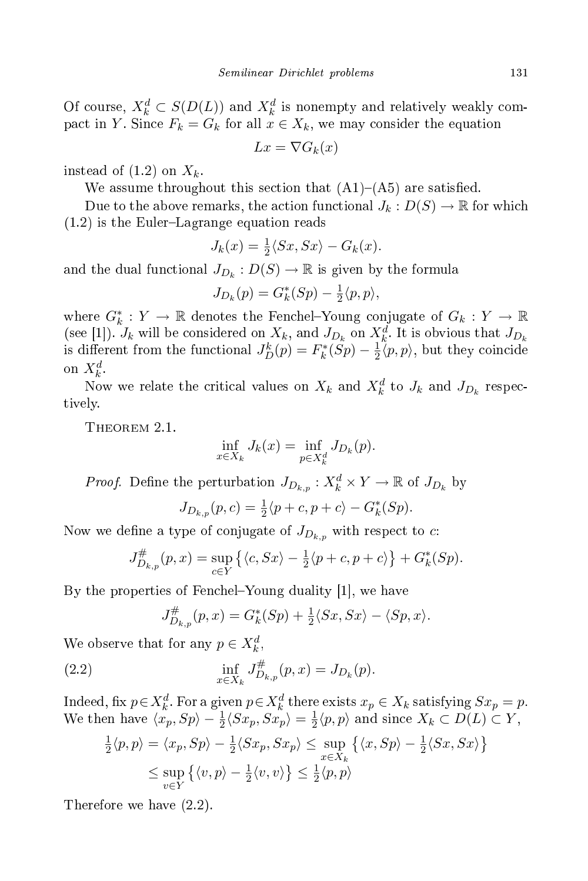Of course,  $X_k^d \subset S(D(L))$  and  $X_k^d$  is nonempty and relatively weakly compact in Y. Since  $F_k = G_k$  for all  $x \in X_k$ , we may consider the equation

$$
Lx = \nabla G_k(x)
$$

instead of  $(1.2)$  on  $X_k$ .

We assume throughout this section that  $(A1)$ – $(A5)$  are satisfied.

Due to the above remarks, the action functional  $J_k: D(S) \to \mathbb{R}$  for which  $(1.2)$  is the Euler-Lagrange equation reads

$$
J_k(x) = \frac{1}{2} \langle Sx, Sx \rangle - G_k(x).
$$

and the dual functional  $J_{D_k}:D(S) \to \mathbb{R}$  is given by the formula

$$
J_{D_k}(p) = G_k^*(Sp) - \frac{1}{2}\langle p, p \rangle,
$$

where  $G_k^*: Y \to \mathbb{R}$  denotes the Fenchel-Young conjugate of  $G_k: Y \to \mathbb{R}$ (see [1]).  $J_k$  will be considered on  $X_k$ , and  $J_{D_k}$  on  $X_k^d$ . It is obvious that  $J_{D_k}$ is different from the functional  $J_D^k(p) = F_k^*$  $\frac{1}{k}(Sp) - \frac{1}{2}$  $\frac{1}{2}\langle p,p \rangle$ , but they coincide on  $X_k^d$ .

Now we relate the critical values on  $X_k$  and  $X_k^d$  to  $J_k$  and  $J_{D_k}$  respectively.

Theorem 2.1.

$$
\inf_{x \in X_k} J_k(x) = \inf_{p \in X_k^d} J_{D_k}(p).
$$

*Proof.* Define the perturbation  $J_{D_{k,p}}: X_k^d \times Y \to \mathbb{R}$  of  $J_{D_k}$  by

$$
J_{D_{k,p}}(p,c) = \frac{1}{2} \langle p + c, p + c \rangle - G_k^*(Sp).
$$

Now we define a type of conjugate of  $J_{D_{k,p}}$  with respect to c:

$$
J_{D_{k,p}}^{\#}(p,x) = \sup_{c \in Y} \left\{ \langle c, Sx \rangle - \frac{1}{2} \langle p + c, p + c \rangle \right\} + G_k^*(Sp).
$$

By the properties of Fenchel–Young duality [1], we have

$$
J_{D_{k,p}}^{\#}(p,x) = G_k^*(Sp) + \frac{1}{2} \langle Sx, Sx \rangle - \langle Sp, x \rangle.
$$

We observe that for any  $p \in X_k^d$ ,

(2.2) 
$$
\inf_{x \in X_k} J_{D_{k,p}}^{\#}(p, x) = J_{D_k}(p).
$$

Indeed, fix  $p \in X_k^d$ . For a given  $p \in X_k^d$  there exists  $x_p \in X_k$  satisfying  $Sx_p = p$ . We then have  $\langle x_p, Sp \rangle - \frac{1}{2} \langle Sx_p, Sx_p \rangle = \frac{1}{2}$  $\frac{1}{2}\langle p, p \rangle$  and since  $X_k \subset D(L) \subset Y$ ,

$$
\frac{1}{2}\langle p, p \rangle = \langle x_p, Sp \rangle - \frac{1}{2}\langle Sx_p, Sx_p \rangle \le \sup_{x \in X_k} \{ \langle x, Sp \rangle - \frac{1}{2}\langle Sx, Sx \rangle \}
$$
  

$$
\le \sup_{v \in Y} \{ \langle v, p \rangle - \frac{1}{2}\langle v, v \rangle \} \le \frac{1}{2}\langle p, p \rangle
$$

Therefore we have (2.2).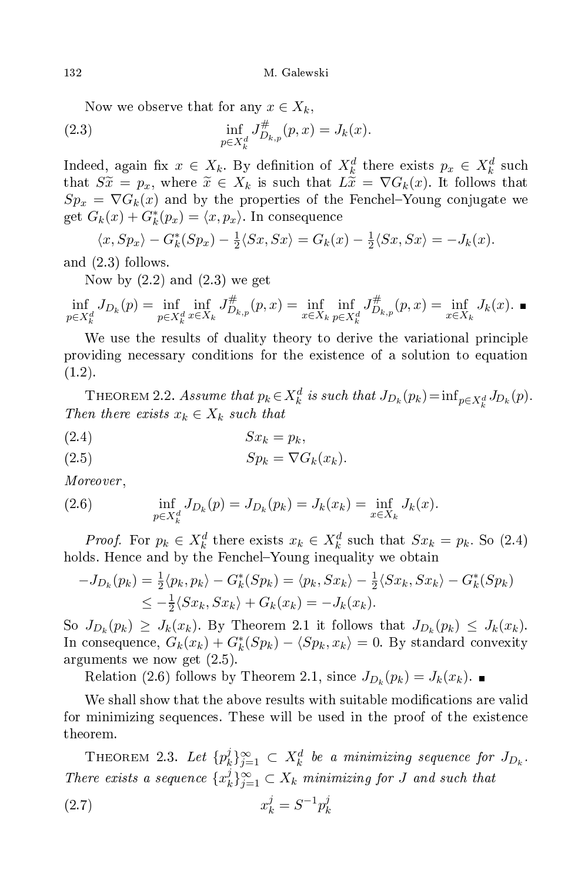Now we observe that for any  $x \in X_k$ ,

(2.3) 
$$
\inf_{p \in X_k^d} J_{D_{k,p}}^{\#}(p, x) = J_k(x).
$$

Indeed, again fix  $x \in X_k$ . By definition of  $X_k^d$  there exists  $p_x \in X_k^d$  such that  $S\tilde{x} = p_x$ , where  $\tilde{x} \in X_k$  is such that  $L\tilde{x} = \nabla G_k(x)$ . It follows that  $Sp_x = \nabla G_k(x)$  and by the properties of the Fenchel-Young conjugate we get  $G_k(x) + G_k^*(p_x) = \langle x, p_x \rangle$ . In consequence

$$
\langle x, Sp_x \rangle - G_k^*(Sp_x) - \frac{1}{2} \langle Sx, Sx \rangle = G_k(x) - \frac{1}{2} \langle Sx, Sx \rangle = -J_k(x).
$$

and (2.3) follows.

Now by  $(2.2)$  and  $(2.3)$  we get

$$
\inf_{p \in X_k^d} J_{D_k}(p) = \inf_{p \in X_k^d} \inf_{x \in X_k} J_{D_{k,p}}^{\#}(p, x) = \inf_{x \in X_k} \inf_{p \in X_k^d} J_{D_{k,p}}^{\#}(p, x) = \inf_{x \in X_k} J_k(x).
$$

We use the results of duality theory to derive the variational principle providing ne
essary onditions for the existen
e of a solution to equation  $(1.2).$ 

THEOREM 2.2. Assume that  $p_k \in X_k^d$  is such that  $J_{D_k}(p_k) = \inf_{p \in X_k^d} J_{D_k}(p)$ . Then there exists  $x_k \in X_k$  such that

$$
(2.4) \t\t Sx_k = p_k,
$$

$$
(2.5) \t\t Sp_k = \nabla G_k(x_k).
$$

Moreover ,

(2.6) 
$$
\inf_{p \in X_k^d} J_{D_k}(p) = J_{D_k}(p_k) = J_k(x_k) = \inf_{x \in X_k} J_k(x).
$$

*Proof.* For  $p_k \in X_k^d$  there exists  $x_k \in X_k^d$  such that  $Sx_k = p_k$ . So (2.4) holds. Hence and by the Fenchel-Young inequality we obtain

$$
-J_{D_k}(p_k) = \frac{1}{2} \langle p_k, p_k \rangle - G_k^*(Sp_k) = \langle p_k, Sx_k \rangle - \frac{1}{2} \langle Sx_k, Sx_k \rangle - G_k^*(Sp_k)
$$
  

$$
\leq -\frac{1}{2} \langle Sx_k, Sx_k \rangle + G_k(x_k) = -J_k(x_k).
$$

So  $J_{D_k}(p_k) \geq J_k(x_k)$ . By Theorem 2.1 it follows that  $J_{D_k}(p_k) \leq J_k(x_k)$ . In consequence,  $G_k(x_k) + G_k^*(Sp_k) - \langle Sp_k, x_k \rangle = 0$ . By standard convexity arguments we now get (2.5).

Relation (2.6) follows by Theorem 2.1, since  $J_{D_k}(p_k) = J_k(x_k)$ .

We shall show that the above results with suitable modifications are valid for minimizing sequen
es. These will be used in the proof of the existen
e theorem.

THEOREM 2.3. Let  $\{p_k^j\}$  $\hat{Z}_{k}^{j}\}_{j=1}^{\infty}\, \subset\, X_{k}^{d}$  be a minimizing sequence for  $J_{D_{k}}.$ There exists a sequence  $\{x_k^j\}$  $\{f_k\}_{j=1}^\infty \subset X_k$  minimizing for J and such that

(2.7) 
$$
x_k^j = S^{-1} p_k^j
$$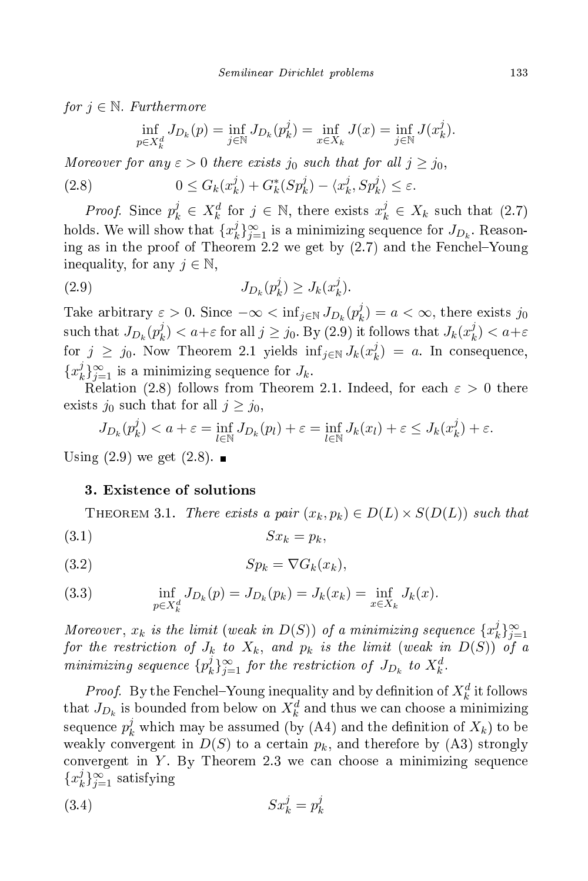for  $j \in \mathbb{N}$ . Furthermore

$$
\inf_{p \in X_k^d} J_{D_k}(p) = \inf_{j \in \mathbb{N}} J_{D_k}(p_k^j) = \inf_{x \in X_k} J(x) = \inf_{j \in \mathbb{N}} J(x_k^j).
$$

Moreover for any  $\varepsilon > 0$  there exists  $j_0$  such that for all  $j \geq j_0$ ,

(2.8) 
$$
0 \le G_k(x_k^j) + G_k^*(Sp_k^j) - \langle x_k^j, Sp_k^j \rangle \le \varepsilon.
$$

*Proof.* Since  $p_k^j \in X_k^d$  for  $j \in \mathbb{N}$ , there exists  $x_k^j \in X_k$  such that  $(2.7)$ holds. We will show that  $\{x_k^j\}$  $\hat{y}_{j=1}^j$  is a minimizing sequence for  $J_{D_k}$ . Reasoning as in the proof of Theorem 2.2 we get by  $(2.7)$  and the Fenchel-Young inequality, for any  $j \in \mathbb{N}$ ,

$$
(2.9) \t\t J_{D_k}(p_k^j) \ge J_k(x_k^j).
$$

Take arbitrary  $\varepsilon > 0$ . Since  $-\infty < \inf_{j \in \mathbb{N}} J_{D_k}(p_k^j)$  $k_a^j$ ) =  $a < \infty$ , there exists  $j_0$  $\text{ such that } J_{D_k}(p_k^j)$  $k \choose k < a+\varepsilon$  for all  $j \geq j_0$ . By (2.9) it follows that  $J_k(x_k^j)$  $\binom{J}{k} < a+\varepsilon$ for  $j \geq j_0$ . Now Theorem 2.1 yields  $\inf_{j \in \mathbb{N}} J_k(x_k^j)$  $\binom{J}{k} = a$ . In consequence,  $\{x_k^j\}$  $\int_{k}^{j} \delta_{j=1}^{\infty}$  is a minimizing sequence for  $J_k$ .

Relation (2.8) follows from Theorem 2.1. Indeed, for each  $\varepsilon > 0$  there exists  $j_0$  such that for all  $j \geq j_0$ ,

$$
J_{D_k}(p_k^j) < a + \varepsilon = \inf_{l \in \mathbb{N}} J_{D_k}(p_l) + \varepsilon = \inf_{l \in \mathbb{N}} J_k(x_l) + \varepsilon \le J_k(x_k^j) + \varepsilon.
$$

Using  $(2.9)$  we get  $(2.8)$ .

## 3. Existen
e of solutions

THEOREM 3.1. There exists a pair  $(x_k, p_k) \in D(L) \times S(D(L))$  such that (3.1)  $Sx_k = p_k$ ,

$$
(3.2) \t\t Sp_k = \nabla G_k(x_k),
$$

(3.3) 
$$
\inf_{p \in X_k^d} J_{D_k}(p) = J_{D_k}(p_k) = J_k(x_k) = \inf_{x \in X_k} J_k(x).
$$

Moreover,  $x_k$  is the limit (weak in  $D(S)$ ) of a minimizing sequence  $\{x_k^j\}$ Moreover,  $x_k$  is the limit (weak in  $D(S)$ ) of a minimizing sequence  $\{x_k^j\}_{j=1}^{\infty}$  for the restriction of  $J_k$  to  $X_k$ , and  $p_k$  is the limit (weak in  $D(S)$ ) of a minimizing sequence  $\{p_k^j\}$  $\{f_k\}_{j=1}^{\infty}$  for the restriction of  $J_{D_k}$  to  $X_k^d$ .

*Proof.* By the Fenchel–Young inequality and by definition of  $X_k^d$  it follows that  $J_{D_k}$  is bounded from below on  $X_k^d$  and thus we can choose a minimizing sequence  $p_k^j$  which may be assumed (by (A4) and the definition of  $X_k$ ) to be weakly convergent in  $D(S)$  to a certain  $p_k$ , and therefore by (A3) strongly convergent in  $Y$ . By Theorem 2.3 we can choose a minimizing sequence  $\{x_k^j\}$  $\{e_k\}_{j=1}^{\infty}$  satisfying

$$
(3.4) \t\t Sx_k^j = p_k^j
$$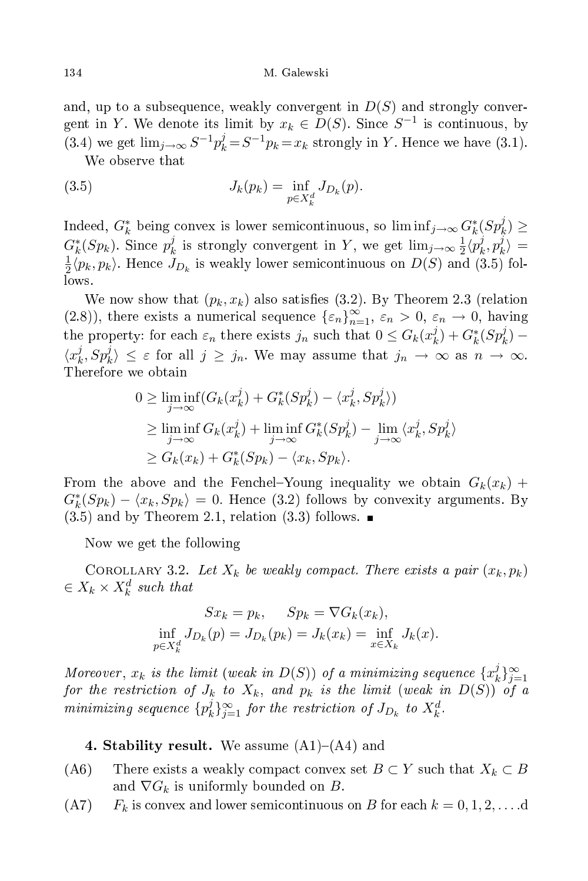and, up to a subsequence, weakly convergent in  $D(S)$  and strongly convergent in Y. We denote its limit by  $x_k \in D(S)$ . Since  $S^{-1}$  is continuous, by (3.4) we get  $\lim_{j\to\infty} S^{-1}p_k^j = S^{-1}p_k = x_k$  strongly in Y. Hence we have (3.1).

We observe that

(3.5) 
$$
J_k(p_k) = \inf_{p \in X_k^d} J_{D_k}(p).
$$

Indeed,  $G_k^*$  being convex is lower semicontinuous, so  $\liminf_{j\to\infty} G_k^*(Sp_k^j) \geq$  $G_k^*(Sp_k)$ . Since  $p_k^j$  $\frac{j}{k}$  is strongly convergent in Y, we get  $\lim_{j\to\infty}\frac{1}{2}$  $\frac{1}{2} \langle p_k^j$  $p_k^j, p_k^j$  $\binom{J}{k} =$ 1  $\frac{1}{2}\langle p_k, p_k \rangle$ . Hence  $J_{D_k}$  is weakly lower semicontinuous on  $D(S)$  and  $(3.5)$  follows.

We now show that  $(p_k, x_k)$  also satisfies (3.2). By Theorem 2.3 (relation (2.8)), there exists a numerical sequence  $\{\varepsilon_n\}_{n=1}^{\infty}$ ,  $\varepsilon_n > 0$ ,  $\varepsilon_n \to 0$ , having the property: for each  $\varepsilon_n$  there exists  $j_n$  such that  $0 \leq G_k(x_k^j)$  $(k) + G_k^*(Sp_k^j) \langle x_k^j$  $\langle j_k, Sp_k^j \rangle \leq \varepsilon$  for all  $j \geq j_n$ . We may assume that  $j_n \to \infty$  as  $n \to \infty$ . Therefore we obtain

$$
0 \geq \liminf_{j \to \infty} (G_k(x_k^j) + G_k^*(Sp_k^j) - \langle x_k^j, Sp_k^j \rangle)
$$
  
\n
$$
\geq \liminf_{j \to \infty} G_k(x_k^j) + \liminf_{j \to \infty} G_k^*(Sp_k^j) - \lim_{j \to \infty} \langle x_k^j, Sp_k^j \rangle
$$
  
\n
$$
\geq G_k(x_k) + G_k^*(Sp_k) - \langle x_k, Sp_k \rangle.
$$

From the above and the Fenchel-Young inequality we obtain  $G_k(x_k)$  +  $G_k^*(Sp_k) - \langle x_k, Sp_k \rangle = 0$ . Hence (3.2) follows by convexity arguments. By  $(3.5)$  and by Theorem 2.1, relation  $(3.3)$  follows.

Now we get the following

COROLLARY 3.2. Let  $X_k$  be weakly compact. There exists a pair  $(x_k, p_k)$  $\in X_k \times X_k^d$  such that

$$
Sx_k = p_k, \t Sp_k = \nabla G_k(x_k),
$$
  
\n
$$
\inf_{p \in X_k^d} J_{D_k}(p) = J_{D_k}(p_k) = J_k(x_k) = \inf_{x \in X_k} J_k(x).
$$

Moreover,  $x_k$  is the limit (weak in  $D(S)$ ) of a minimizing sequence  $\{x_k^j\}$  $\substack{j\\k}\}_{j=1}^{\infty}$ for the restriction of  $J_k$  to  $X_k$ , and  $p_k$  is the limit (weak in  $D(S)$ ) of a minimizing sequence  $\{p_k^j\}$  $\hat{y}_{j+1}^j$  for the restriction of  $J_{D_k}$  to  $X_k^d$ .

4. Stability result. We assume  $(A1)$ – $(A4)$  and

- (A6) There exists a weakly compact convex set  $B \subset Y$  such that  $X_k \subset B$ and  $\nabla G_k$  is uniformly bounded on B.
- $(A7)$  F<sub>k</sub> is convex and lower semicontinuous on B for each  $k = 0, 1, 2, \ldots$  d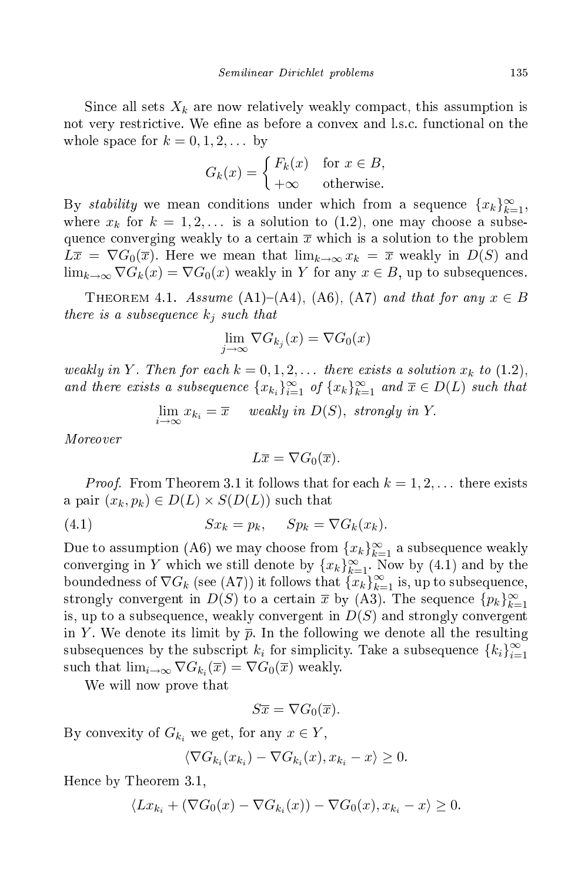Since all sets  $X_k$  are now relatively weakly compact, this assumption is not very restrictive. We efine as before a convex and l.s.c. functional on the whole space for  $k = 0, 1, 2, \ldots$  by

$$
G_k(x) = \begin{cases} F_k(x) & \text{for } x \in B, \\ +\infty & \text{otherwise.} \end{cases}
$$

By *stability* we mean conditions under which from a sequence  $\{x_k\}_{k=1}^{\infty}$ , where  $x_k$  for  $k = 1, 2, \ldots$  is a solution to (1.2), one may choose a subsequence converging weakly to a certain  $\bar{x}$  which is a solution to the problem  $L\overline{x} = \nabla G_0(\overline{x})$ . Here we mean that  $\lim_{k\to\infty} x_k = \overline{x}$  weakly in  $D(S)$  and  $\lim_{k\to\infty} \nabla G_k(x) = \nabla G_0(x)$  weakly in Y for any  $x \in B$ , up to subsequences.

THEOREM 4.1. Assume (A1)–(A4), (A6), (A7) and that for any  $x \in B$ there is a subsequence  $k_j$  such that

$$
\lim_{j \to \infty} \nabla G_{k_j}(x) = \nabla G_0(x)
$$

weakly in Y. Then for each  $k = 0, 1, 2, \ldots$  there exists a solution  $x_k$  to (1.2), and there exists a subsequence  ${x_{k_i}}_{i=1}^{\infty}$  of  ${x_k}_{k=1}^{\infty}$  and  $\overline{x} \in D(L)$  such that

$$
\lim_{i \to \infty} x_{k_i} = \overline{x} \quad weakly in D(S), strongly in Y.
$$

Moreover

$$
L\overline{x} = \nabla G_0(\overline{x}).
$$

*Proof.* From Theorem 3.1 it follows that for each  $k = 1, 2, ...$  there exists a pair  $(x_k, p_k) \in D(L) \times S(D(L))$  such that

(4.1) 
$$
Sx_k = p_k, \quad Sp_k = \nabla G_k(x_k).
$$

Due to assumption (A6) we may choose from  ${x_k}_{k=1}^{\infty}$  a subsequence weakly converging in Y which we still denote by  ${x_k}_{k=1}^{\infty}$ . Now by (4.1) and by the boundedness of  $\nabla G_k$  (see (A7)) it follows that  ${x_k \brace k=1 \atop k=1}^{\infty}$  $k=1$  is, up to subsequence, strongly convergent in  $D(S)$  to a certain  $\bar{x}$  by  $(A3)$ . The sequence  ${p_k}_{k=1}^{\infty}$ is, up to a subsequence, weakly convergent in  $D(S)$  and strongly convergent in Y. We denote its limit by  $\bar{p}$ . In the following we denote all the resulting subsequences by the subscript  $k_i$  for simplicity. Take a subsequence  $\{k_i\}_{i=1}^{\infty}$  $\frac{i=1}{i}$ such that  $\lim_{i\to\infty} \nabla G_{k_i}(\overline{x}) = \nabla G_0(\overline{x})$  weakly.

We will now prove that

$$
S\overline{x} = \nabla G_0(\overline{x}).
$$

By convexity of  $G_{k_i}$  we get, for any  $x \in Y$ ,

$$
\langle \nabla G_{k_i}(x_{k_i}) - \nabla G_{k_i}(x), x_{k_i} - x \rangle \geq 0.
$$

Hen
e by Theorem 3.1,

$$
\langle Lx_{k_i} + (\nabla G_0(x) - \nabla G_{k_i}(x)) - \nabla G_0(x), x_{k_i} - x \rangle \ge 0.
$$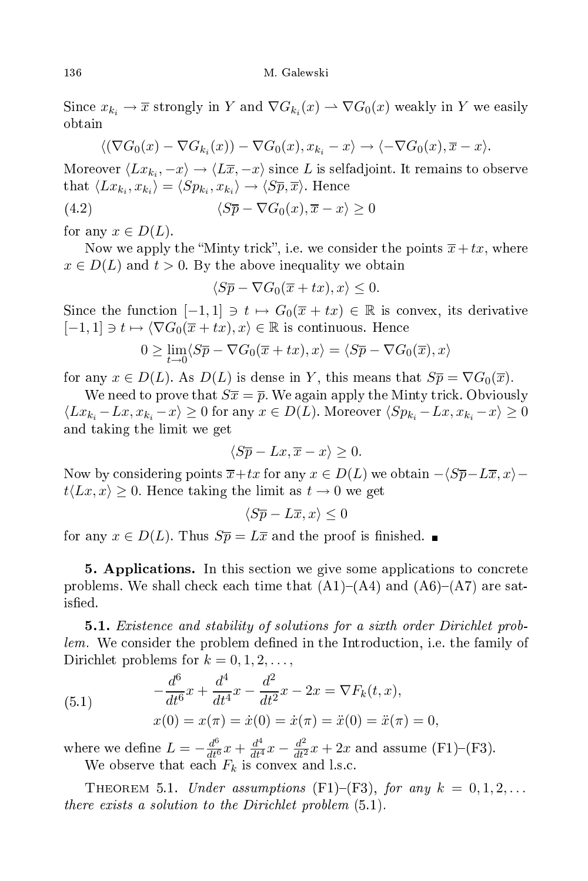Since  $x_{k_i} \to \overline{x}$  strongly in Y and  $\nabla G_{k_i}(x) \to \nabla G_0(x)$  weakly in Y we easily

$$
\langle (\nabla G_0(x) - \nabla G_{k_i}(x)) - \nabla G_0(x), x_{k_i} - x \rangle \to \langle -\nabla G_0(x), \overline{x} - x \rangle.
$$

Moreover  $\langle Lx_{k_i}, -x \rangle \rightarrow \langle L\overline{x}, -x \rangle$  since  $L$  is selfadjoint. It remains to observe that  $\langle Lx_{k_i}, x_{k_i} \rangle = \langle Sp_{k_i}, x_{k_i} \rangle \rightarrow \langle S\overline{p}, \overline{x} \rangle$ . Hence

(4.2) 
$$
\langle S\overline{p} - \nabla G_0(x), \overline{x} - x \rangle \ge 0
$$

for any  $x \in D(L)$ .

Now we apply the "Minty trick", i.e. we consider the points  $\overline{x}+tx$ , where  $x \in D(L)$  and  $t > 0$ . By the above inequality we obtain

$$
\langle S\overline{p} - \nabla G_0(\overline{x} + tx), x \rangle \le 0.
$$

Since the function  $[-1,1] \ni t \mapsto G_0(\overline{x} + tx) \in \mathbb{R}$  is convex, its derivative  $[-1, 1] \ni t \mapsto \langle \nabla G_0(\overline{x} + tx), x \rangle \in \mathbb{R}$  is continuous. Hence

$$
0 \ge \lim_{t \to 0} \langle S\overline{p} - \nabla G_0(\overline{x} + tx), x \rangle = \langle S\overline{p} - \nabla G_0(\overline{x}), x \rangle
$$

for any  $x \in D(L)$ . As  $D(L)$  is dense in Y, this means that  $S\overline{p} = \nabla G_0(\overline{x})$ .

We need to prove that  $S\overline{x} = \overline{p}$ . We again apply the Minty trick. Obviously  $\langle Lx_{k_i} - Lx, x_{k_i} - x \rangle \ge 0$  for any  $x \in D(L)$ . Moreover  $\langle Sp_{k_i} - Lx, x_{k_i} - x \rangle \ge 0$ and taking the limit we get

$$
\langle S\overline{p} - Lx, \overline{x} - x \rangle \ge 0.
$$

Now by considering points  $\overline{x}+tx$  for any  $x \in D(L)$  we obtain  $-\langle S\overline{p}-L\overline{x}, x\rangle$  $t\langle Lx, x \rangle \geq 0$ . Hence taking the limit as  $t \to 0$  we get

$$
\langle S\overline{p} - L\overline{x}, x \rangle \le 0
$$

for any  $x \in D(L)$ . Thus  $S\overline{p} = L\overline{x}$  and the proof is finished.

5. Applications. In this section we give some applications to concrete problems. We shall check each time that  $(A1)$ – $(A4)$  and  $(A6)$ – $(A7)$  are satisfied.

**5.1.** Existence and stability of solutions for a sixth order Dirichlet problem. We consider the problem defined in the Introduction, i.e. the family of Dirichlet problems for  $k = 0, 1, 2, \ldots$ ,

(5.1) 
$$
-\frac{d^6}{dt^6}x + \frac{d^4}{dt^4}x - \frac{d^2}{dt^2}x - 2x = \nabla F_k(t, x),
$$

$$
x(0) = x(\pi) = \dot{x}(0) = \dot{x}(\pi) = \ddot{x}(0) = \ddot{x}(\pi) = 0,
$$

where we define  $L = -\frac{d^6}{dt^6}x + \frac{d^4}{dt^4}x - \frac{d^2}{dt^2}x + 2x$  and assume (F1)-(F3). We observe that each  $F_k$  is convex and l.s.c.

THEOREM 5.1. Under assumptions (F1)–(F3), for any  $k = 0, 1, 2, \ldots$ there exists a solution to the Dirichlet problem  $(5.1)$ .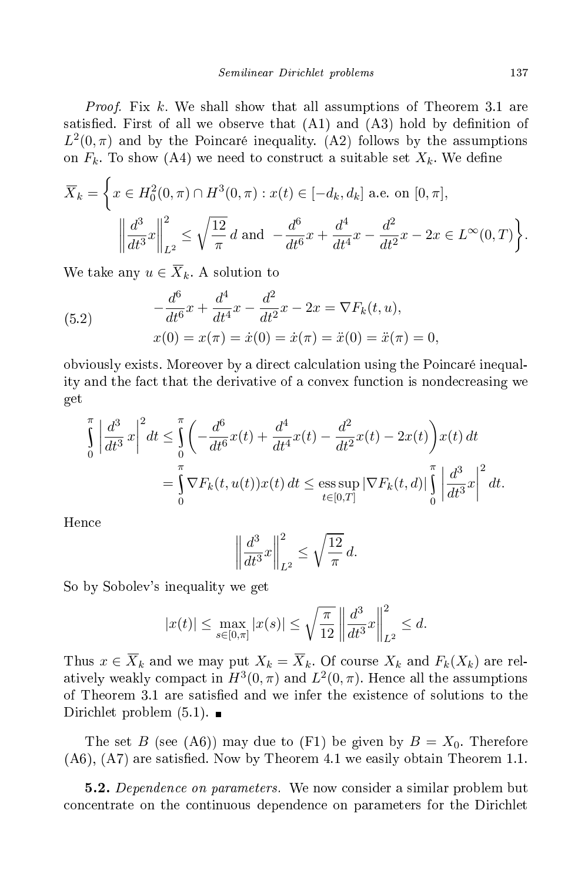*Proof.* Fix k. We shall show that all assumptions of Theorem 3.1 are satisfied. First of all we observe that  $(A1)$  and  $(A3)$  hold by definition of  $L^2(0,\pi)$  and by the Poincaré inequality. (A2) follows by the assumptions on  $F_k$ . To show (A4) we need to construct a suitable set  $X_k$ . We define

$$
\overline{X}_k = \left\{ x \in H_0^2(0, \pi) \cap H^3(0, \pi) : x(t) \in [-d_k, d_k] \text{ a.e. on } [0, \pi], \right\}
$$

$$
\left\| \frac{d^3}{dt^3} x \right\|_{L^2}^2 \le \sqrt{\frac{12}{\pi}} d \text{ and } -\frac{d^6}{dt^6} x + \frac{d^4}{dt^4} x - \frac{d^2}{dt^2} x - 2x \in L^\infty(0, T) \right\}.
$$

We take any  $u \in \overline{X}_k$ . A solution to

(5.2) 
$$
-\frac{d^6}{dt^6}x + \frac{d^4}{dt^4}x - \frac{d^2}{dt^2}x - 2x = \nabla F_k(t, u),
$$

$$
x(0) = x(\pi) = \dot{x}(0) = \dot{x}(\pi) = \ddot{x}(0) = \ddot{x}(\pi) = 0,
$$

obviously exists. Moreover by a direct calculation using the Poincaré inequality and the fa
t that the derivative of a onvex fun
tion is nonde
reasing we get

$$
\int_{0}^{\pi} \left| \frac{d^{3}}{dt^{3}} x \right|^{2} dt \leq \int_{0}^{\pi} \left( -\frac{d^{6}}{dt^{6}} x(t) + \frac{d^{4}}{dt^{4}} x(t) - \frac{d^{2}}{dt^{2}} x(t) - 2x(t) \right) x(t) dt
$$
\n
$$
= \int_{0}^{\pi} \nabla F_{k}(t, u(t)) x(t) dt \leq \operatorname*{ess} \operatorname*{sup}_{t \in [0, T]} \left| \nabla F_{k}(t, d) \right| \int_{0}^{\pi} \left| \frac{d^{3}}{dt^{3}} x \right|^{2} dt.
$$

Hen
e

$$
\left\| \frac{d^3}{dt^3} x \right\|_{L^2}^2 \le \sqrt{\frac{12}{\pi}} d.
$$

So by Sobolev's inequality we get

$$
|x(t)| \le \max_{s \in [0,\pi]} |x(s)| \le \sqrt{\frac{\pi}{12}} \left\| \frac{d^3}{dt^3} x \right\|_{L^2}^2 \le d.
$$

Thus  $x \in \overline{X}_k$  and we may put  $X_k = \overline{X}_k$ . Of course  $X_k$  and  $F_k(X_k)$  are relatively weakly compact in  $H^3(0, \pi)$  and  $L^2(0, \pi)$ . Hence all the assumptions of Theorem 3.1 are satisfied and we infer the existence of solutions to the Dirichlet problem  $(5.1)$ .

The set B (see (A6)) may due to (F1) be given by  $B = X_0$ . Therefore  $(A6)$ ,  $(A7)$  are satisfied. Now by Theorem 4.1 we easily obtain Theorem 1.1.

**5.2.** Dependence on parameters. We now consider a similar problem but concentrate on the continuous dependence on parameters for the Dirichlet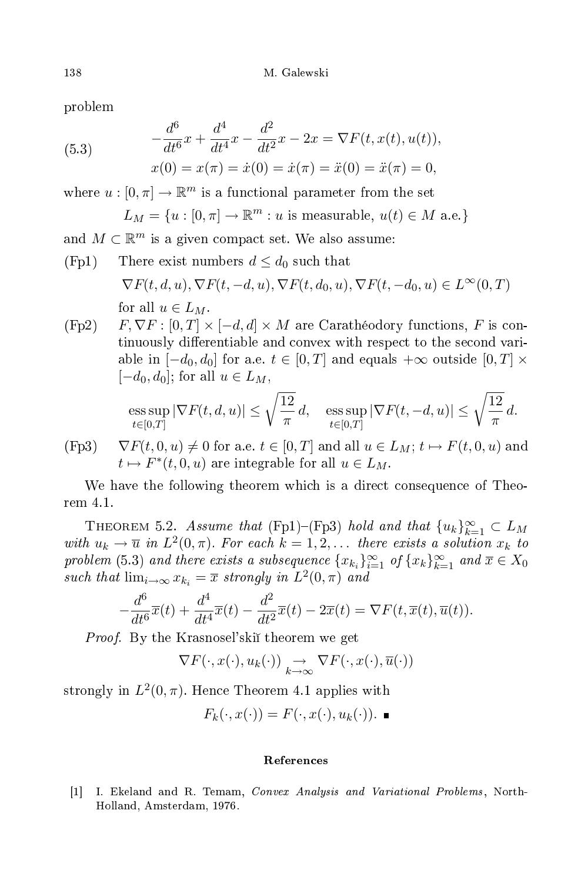problem

(5.3) 
$$
-\frac{d^6}{dt^6}x + \frac{d^4}{dt^4}x - \frac{d^2}{dt^2}x - 2x = \nabla F(t, x(t), u(t)),
$$

$$
x(0) = x(\pi) = \dot{x}(0) = \dot{x}(\pi) = \ddot{x}(0) = \ddot{x}(\pi) = 0,
$$

where  $u : [0, \pi] \to \mathbb{R}^m$  is a functional parameter from the set

$$
L_M = \{u : [0, \pi] \to \mathbb{R}^m : u \text{ is measurable, } u(t) \in M \text{ a.e.}\}
$$

and  $M \subset \mathbb{R}^m$  is a given compact set. We also assume:

- (Fp1) There exist numbers  $d \leq d_0$  such that  $\nabla F(t, d, u), \nabla F(t, -d, u), \nabla F(t, d_0, u), \nabla F(t, -d_0, u) \in L^{\infty}(0, T)$ for all  $u \in L_M$ .
- $(Fp2)$   $F, \nabla F : [0, T] \times [-d, d] \times M$  are Carathéodory functions, F is continuously differentiable and convex with respect to the second variable in  $[-d_0, d_0]$  for a.e.  $t \in [0, T]$  and equals  $+\infty$  outside  $[0, T] \times$  $[-d_0, d_0]$ ; for all  $u \in L_M$ ,

$$
\text{ess}\sup_{t\in[0,T]}|\nabla F(t,d,u)|\leq \sqrt{\frac{12}{\pi}}\,d,\quad \text{ess}\sup_{t\in[0,T]}|\nabla F(t,-d,u)|\leq \sqrt{\frac{12}{\pi}}\,d.
$$

(Fp3)  $\nabla F(t, 0, u) \neq 0$  for a.e.  $t \in [0, T]$  and all  $u \in L_M$ ;  $t \mapsto F(t, 0, u)$  and  $t \mapsto F^*(t, 0, u)$  are integrable for all  $u \in L_M$ .

We have the following theorem which is a direct consequence of Theorem 4.1.

THEOREM 5.2. Assume that (Fp1)–(Fp3) hold and that  ${u_k}_{k=1}^{\infty} \subset L_M$ with  $u_k \to \overline{u}$  in  $L^2(0,\pi)$ . For each  $k = 1, 2, \ldots$  there exists a solution  $x_k$  to problem (5.3) and there exists a subsequence  ${x_{k_i}}_{i=1}^{\infty}$  of  ${x_k}_{k=1}^{\infty}$  and  $\overline{x} \in X_0$ such that  $\lim_{i\to\infty} x_{k_i} = \overline{x}$  strongly in  $L^2(0, \pi)$  and

$$
-\frac{d^6}{dt^6}\overline{x}(t) + \frac{d^4}{dt^4}\overline{x}(t) - \frac{d^2}{dt^2}\overline{x}(t) - 2\overline{x}(t) = \nabla F(t, \overline{x}(t), \overline{u}(t)).
$$

Proof. By the Krasnosel'ski theorem we get

$$
\nabla F(\cdot, x(\cdot), u_k(\cdot)) \underset{k \to \infty}{\to} \nabla F(\cdot, x(\cdot), \overline{u}(\cdot))
$$

strongly in  $L^2(0, \pi)$ . Hence Theorem 4.1 applies with

$$
F_k(\cdot, x(\cdot)) = F(\cdot, x(\cdot), u_k(\cdot)).
$$

## Referen
es

[1] I. Ekeland and R. Temam, Convex Analysis and Variational Problems, North-Holland, Amsterdam, 1976.